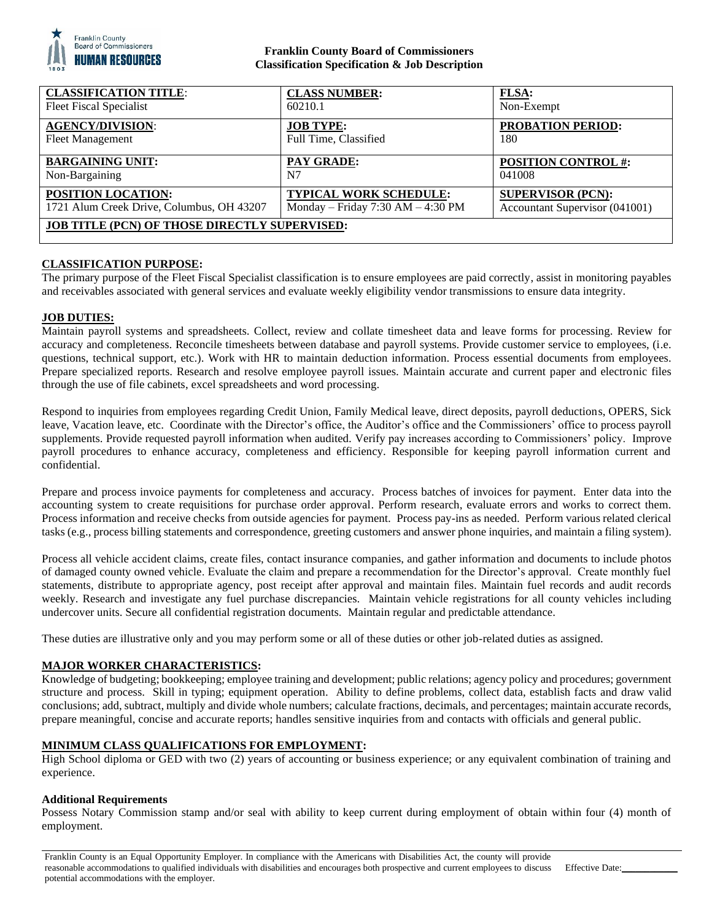

## **Franklin County Board of Commissioners Classification Specification & Job Description**

| <b>CLASSIFICATION TITLE:</b>                         | <b>CLASS NUMBER:</b>              | FLSA:                          |
|------------------------------------------------------|-----------------------------------|--------------------------------|
| <b>Fleet Fiscal Specialist</b>                       | 60210.1                           | Non-Exempt                     |
| <b>AGENCY/DIVISION:</b>                              | <b>JOB TYPE:</b>                  | <b>PROBATION PERIOD:</b>       |
| <b>Fleet Management</b>                              | Full Time, Classified             | 180                            |
| <b>BARGAINING UNIT:</b>                              | <b>PAY GRADE:</b>                 | <b>POSITION CONTROL #:</b>     |
| Non-Bargaining                                       | N7                                | 041008                         |
| POSITION LOCATION:                                   | <b>TYPICAL WORK SCHEDULE:</b>     | <b>SUPERVISOR (PCN):</b>       |
| 1721 Alum Creek Drive, Columbus, OH 43207            | Monday – Friday 7:30 AM – 4:30 PM | Accountant Supervisor (041001) |
| <b>JOB TITLE (PCN) OF THOSE DIRECTLY SUPERVISED:</b> |                                   |                                |
|                                                      |                                   |                                |

### **CLASSIFICATION PURPOSE:**

The primary purpose of the Fleet Fiscal Specialist classification is to ensure employees are paid correctly, assist in monitoring payables and receivables associated with general services and evaluate weekly eligibility vendor transmissions to ensure data integrity.

### **JOB DUTIES:**

Maintain payroll systems and spreadsheets. Collect, review and collate timesheet data and leave forms for processing. Review for accuracy and completeness. Reconcile timesheets between database and payroll systems. Provide customer service to employees, (i.e. questions, technical support, etc.). Work with HR to maintain deduction information. Process essential documents from employees. Prepare specialized reports. Research and resolve employee payroll issues. Maintain accurate and current paper and electronic files through the use of file cabinets, excel spreadsheets and word processing.

Respond to inquiries from employees regarding Credit Union, Family Medical leave, direct deposits, payroll deductions, OPERS, Sick leave, Vacation leave, etc. Coordinate with the Director's office, the Auditor's office and the Commissioners' office to process payroll supplements. Provide requested payroll information when audited. Verify pay increases according to Commissioners' policy. Improve payroll procedures to enhance accuracy, completeness and efficiency. Responsible for keeping payroll information current and confidential.

Prepare and process invoice payments for completeness and accuracy. Process batches of invoices for payment. Enter data into the accounting system to create requisitions for purchase order approval. Perform research, evaluate errors and works to correct them. Process information and receive checks from outside agencies for payment. Process pay-ins as needed. Perform various related clerical tasks (e.g., process billing statements and correspondence, greeting customers and answer phone inquiries, and maintain a filing system).

Process all vehicle accident claims, create files, contact insurance companies, and gather information and documents to include photos of damaged county owned vehicle. Evaluate the claim and prepare a recommendation for the Director's approval. Create monthly fuel statements, distribute to appropriate agency, post receipt after approval and maintain files. Maintain fuel records and audit records weekly. Research and investigate any fuel purchase discrepancies. Maintain vehicle registrations for all county vehicles including undercover units. Secure all confidential registration documents. Maintain regular and predictable attendance.

These duties are illustrative only and you may perform some or all of these duties or other job-related duties as assigned.

### **MAJOR WORKER CHARACTERISTICS:**

Knowledge of budgeting; bookkeeping; employee training and development; public relations; agency policy and procedures; government structure and process. Skill in typing; equipment operation. Ability to define problems, collect data, establish facts and draw valid conclusions; add, subtract, multiply and divide whole numbers; calculate fractions, decimals, and percentages; maintain accurate records, prepare meaningful, concise and accurate reports; handles sensitive inquiries from and contacts with officials and general public.

### **MINIMUM CLASS QUALIFICATIONS FOR EMPLOYMENT:**

High School diploma or GED with two (2) years of accounting or business experience; or any equivalent combination of training and experience.

### **Additional Requirements**

Possess Notary Commission stamp and/or seal with ability to keep current during employment of obtain within four (4) month of employment.